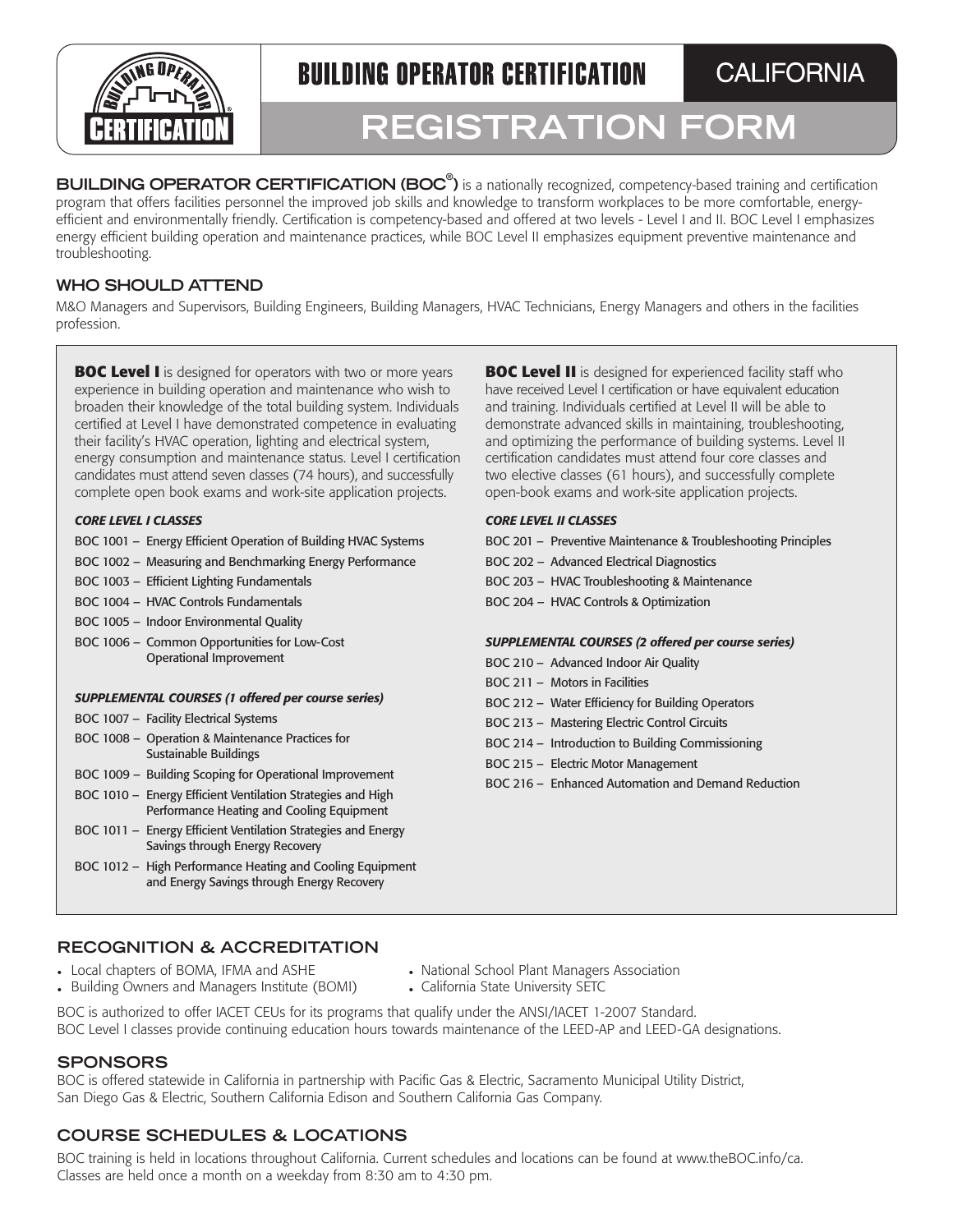

**BUILDING OPERATOR CERTIFICATION** 

**CALIFORNIA** 

# REGISTRATION FORM

**BUILDING OPERATOR CERTIFICATION (BOC<sup>®</sup>)** is a nationally recognized, competency-based training and certification program that offers facilities personnel the improved job skills and knowledge to transform workplaces to be more comfortable, energyefficient and environmentally friendly. Certification is competency-based and offered at two levels - Level I and II. BOC Level I emphasizes energy efficient building operation and maintenance practices, while BOC Level II emphasizes equipment preventive maintenance and troubleshooting.

# **WHO SHOULD ATTEND**

M&O Managers and Supervisors, Building Engineers, Building Managers, HVAC Technicians, Energy Managers and others in the facilities profession.

**BOC Level I** is designed for operators with two or more years experience in building operation and maintenance who wish to broaden their knowledge of the total building system. Individuals certified at Level I have demonstrated competence in evaluating their facility's HVAC operation, lighting and electrical system, energy consumption and maintenance status. Level I certification candidates must attend seven classes (74 hours), and successfully complete open book exams and work-site application projects.

### *CORE LEVEL I CLASSES*

- BOC 1001 Energy Efficient Operation of Building HVAC Systems
- BOC 1002 Measuring and Benchmarking Energy Performance
- BOC 1003 Efficient Lighting Fundamentals
- BOC 1004 HVAC Controls Fundamentals
- BOC 1005 Indoor Environmental Quality
- BOC 1006 Common Opportunities for Low-Cost Operational Improvement

#### *SUPPLEMENTAL COURSES (1 offered per course series)*

- BOC 1007 Facility Electrical Systems
- BOC 1008 Operation & Maintenance Practices for Sustainable Buildings
- BOC 1009 Building Scoping for Operational Improvement
- BOC 1010 Energy Efficient Ventilation Strategies and High Performance Heating and Cooling Equipment
- BOC 1011 Energy Efficient Ventilation Strategies and Energy Savings through Energy Recovery
- BOC 1012 High Performance Heating and Cooling Equipment and Energy Savings through Energy Recovery

**BOC Level II** is designed for experienced facility staff who have received Level I certification or have equivalent education and training. Individuals certified at Level II will be able to demonstrate advanced skills in maintaining, troubleshooting, and optimizing the performance of building systems. Level II certification candidates must attend four core classes and two elective classes (61 hours), and successfully complete open-book exams and work-site application projects.

### *CORE LEVEL II CLASSES*

- BOC 201 Preventive Maintenance & Troubleshooting Principles
- BOC 202 Advanced Electrical Diagnostics
- BOC 203 HVAC Troubleshooting & Maintenance
- BOC 204 HVAC Controls & Optimization

### *SUPPLEMENTAL COURSES (2 offered per course series)*

- BOC 210 Advanced Indoor Air Quality
- BOC 211 Motors in Facilities
- BOC 212 Water Efficiency for Building Operators
- BOC 213 Mastering Electric Control Circuits
- BOC 214 Introduction to Building Commissioning
- BOC 215 Electric Motor Management
- BOC 216 Enhanced Automation and Demand Reduction

# **RECOGNITION & ACCREDITATION**

- Local chapters of BOMA, IFMA and ASHE
- Building Owners and Managers Institute (BOMI)
- National School Plant Managers Association
- California State University SETC

BOC is authorized to offer IACET CEUs for its programs that qualify under the ANSI/IACET 1-2007 Standard. BOC Level I classes provide continuing education hours towards maintenance of the LEED-AP and LEED-GA designations.

## **SPONSORS**

BOC is offered statewide in California in partnership with Pacific Gas & Electric, Sacramento Municipal Utility District, San Diego Gas & Electric, Southern California Edison and Southern California Gas Company.

# **COURSE SCHEDULES & LOCATIONS**

BOC training is held in locations throughout California. Current schedules and locations can be found at [www.theBOC.info/ca](http://www.theBOC.info/ca). Classes are held once a month on a weekday from 8:30 am to 4:30 pm.